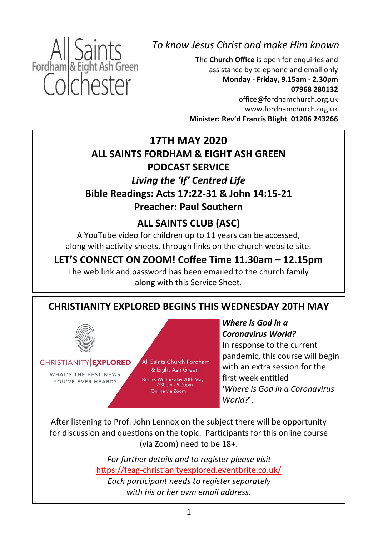

*To know Jesus Christ and make Him known*

The **Church Office** is open for enquiries and assistance by telephone and email only **Monday - Friday, 9.15am - 2.30pm 07968 280132**

office@fordhamchurch.org.uk [www.fordhamchurch.org.uk](http://www.fordhamchurch.org.uk) **Minister: Rev'd Francis Blight 01206 243266**

## **17TH MAY 2020 ALL SAINTS FORDHAM & EIGHT ASH GREEN PODCAST SERVICE** *Living the 'If' Centred Life* **Bible Readings: Acts 17:22-31 & John 14:15-21 Preacher: Paul Southern**

## **ALL SAINTS CLUB (ASC)**

A YouTube video for children up to 11 years can be accessed, along with activity sheets, through links on the church website site.

## **LET'S CONNECT ON ZOOM! Coffee Time 11.30am – 12.15pm**

The web link and password has been emailed to the church family along with this Service Sheet.

## **CHRISTIANITY EXPLORED BEGINS THIS WEDNESDAY 20TH MAY**



CHRISTIANITY EXPLORED

WHAT'S THE BEST NEWS YOU'VE EVER HEARD?

All Saints Church Fordham & Eight Ash Green

Begins Wednesday 20th May<br>7:30pm - 9:00pm Online via Zoom

*Where is God in a Coronavirus World?* In response to the current pandemic, this course will begin with an extra session for the first week entitled '*Where is God in a Coronavirus World?*'.

After listening to Prof. John Lennox on the subject there will be opportunity for discussion and questions on the topic. Participants for this online course (via Zoom) need to be 18+.

> *For further details and to register please visit*  https://feag-[christianityexplored.eventbrite.co.uk/](https://feag-christianityexplored.eventbrite.co.uk/) *Each participant needs to register separately with his or her own email address.*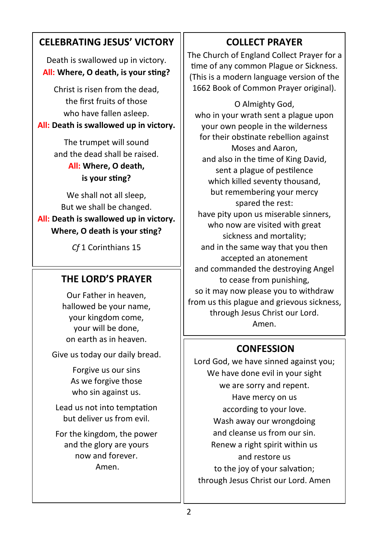## **CELEBRATING JESUS' VICTORY**

Death is swallowed up in victory. **All: Where, O death, is your sting?**

Christ is risen from the dead, the first fruits of those who have fallen asleep.

#### **All: Death is swallowed up in victory.**

The trumpet will sound and the dead shall be raised. **All: Where, O death,** 

# **is your sting?**

We shall not all sleep. But we shall be changed.

#### **All: Death is swallowed up in victory. Where, O death is your sting?**

*Cf* 1 Corinthians 15

## **THE LORD'S PRAYER**

Our Father in heaven, hallowed be your name, your kingdom come, your will be done, on earth as in heaven.

Give us today our daily bread.

Forgive us our sins As we forgive those who sin against us.

Lead us not into temptation but deliver us from evil.

For the kingdom, the power and the glory are yours now and forever. Amen.

## **COLLECT PRAYER**

The Church of England Collect Prayer for a time of any common Plague or Sickness. (This is a modern language version of the 1662 Book of Common Prayer original).

O Almighty God, who in your wrath sent a plague upon your own people in the wilderness for their obstinate rebellion against Moses and Aaron, and also in the time of King David, sent a plague of pestilence which killed seventy thousand, but remembering your mercy spared the rest: have pity upon us miserable sinners, who now are visited with great sickness and mortality; and in the same way that you then accepted an atonement and commanded the destroying Angel to cease from punishing, so it may now please you to withdraw from us this plague and grievous sickness, through Jesus Christ our Lord. Amen.

### **CONFESSION**

Lord God, we have sinned against you; We have done evil in your sight we are sorry and repent. Have mercy on us according to your love. Wash away our wrongdoing and cleanse us from our sin. Renew a right spirit within us and restore us to the joy of your salvation; through Jesus Christ our Lord. Amen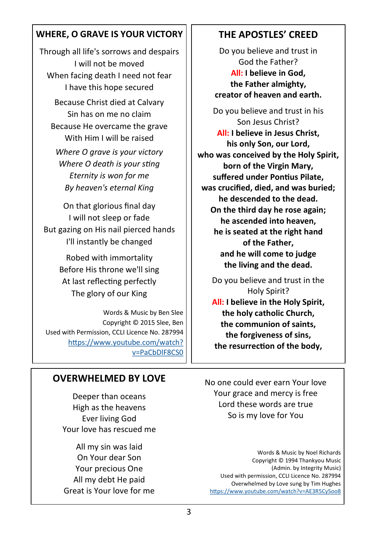#### **WHERE, O GRAVE IS YOUR VICTORY**

Through all life's sorrows and despairs I will not be moved When facing death I need not fear I have this hope secured Because Christ died at Calvary Sin has on me no claim Because He overcame the grave With Him I will be raised *Where O grave is your victory Where O death is your sting Eternity is won for me By heaven's eternal King*

On that glorious final day I will not sleep or fade But gazing on His nail pierced hands I'll instantly be changed

> Robed with immortality Before His throne we'll sing At last reflecting perfectly The glory of our King

Words & Music by Ben Slee Copyright © 2015 Slee, Ben Used with Permission, CCLI Licence No. 287994 [https://www.youtube.com/watch?](https://www.youtube.com/watch?v=PaCbDlF8CS0) [v=PaCbDlF8CS0](https://www.youtube.com/watch?v=PaCbDlF8CS0)

### **OVERWHELMED BY LOVE**

Deeper than oceans High as the heavens Ever living God Your love has rescued me

All my sin was laid On Your dear Son Your precious One All my debt He paid Great is Your love for me

#### **THE APOSTLES' CREED**

Do you believe and trust in God the Father? **All: I believe in God, the Father almighty, creator of heaven and earth.**

Do you believe and trust in his Son Jesus Christ? **All: I believe in Jesus Christ, his only Son, our Lord, who was conceived by the Holy Spirit, born of the Virgin Mary, suffered under Pontius Pilate, was crucified, died, and was buried; he descended to the dead. On the third day he rose again; he ascended into heaven, he is seated at the right hand of the Father, and he will come to judge the living and the dead.**

Do you believe and trust in the Holy Spirit? **All: I believe in the Holy Spirit, the holy catholic Church, the communion of saints, the forgiveness of sins, the resurrection of the body,**

No one could ever earn Your love Your grace and mercy is free Lord these words are true So is my love for You

Words & Music by Noel Richards Copyright © 1994 Thankyou Music (Admin. by Integrity Music) Used with permission, CCLI Licence No. 287994 Overwhelmed by Love sung by Tim Hughes <https://www.youtube.com/watch?v=AE3R5CySoo8>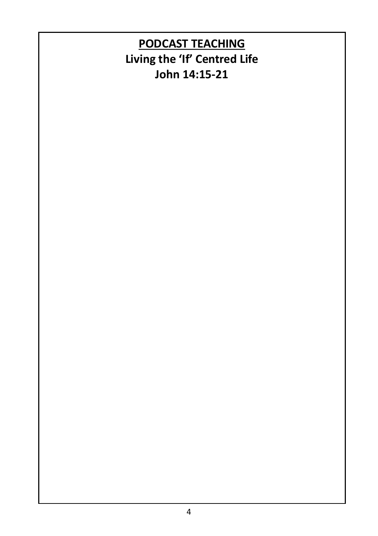# **PODCAST TEACHING Living the 'If' Centred Life John 14:15-21**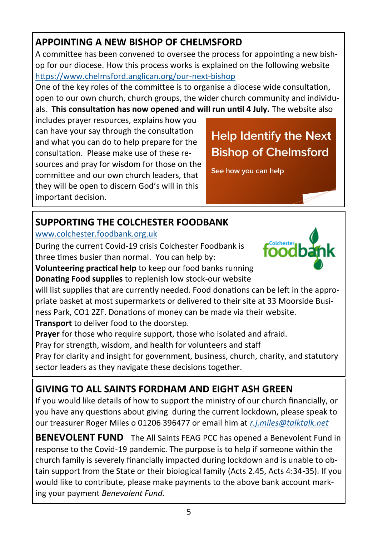## **APPOINTING A NEW BISHOP OF CHELMSFORD**

A committee has been convened to oversee the process for appointing a new bishop for our diocese. How this process works is explained on the following website [https://www.chelmsford.anglican.org/our](https://www.chelmsford.anglican.org/our-next-bishop)-next-bishop

One of the key roles of the committee is to organise a diocese wide consultation, open to our own church, church groups, the wider church community and individuals. **This consultation has now opened and will run until 4 July.** The website also

includes prayer resources, explains how you can have your say through the consultation and what you can do to help prepare for the consultation. Please make use of these resources and pray for wisdom for those on the committee and our own church leaders, that they will be open to discern God's will in this important decision.

# **Help Identify the Next Bishop of Chelmsford**

See how you can help

## **SUPPORTING THE COLCHESTER FOODBANK**

#### [www.colchester.foodbank.org.uk](http://www.colchester.foodbank.org.uk)

During the current Covid-19 crisis Colchester Foodbank is three times busier than normal. You can help by:



**Volunteering practical help** to keep our food banks running **Donating Food supplies** to replenish low stock-our website

will list supplies that are currently needed. Food donations can be left in the appropriate basket at most supermarkets or delivered to their site at 33 Moorside Business Park, CO1 2ZF. Donations of money can be made via their website.

**Transport** to deliver food to the doorstep.

**Prayer** for those who require support, those who isolated and afraid.

Pray for strength, wisdom, and health for volunteers and staff

Pray for clarity and insight for government, business, church, charity, and statutory sector leaders as they navigate these decisions together.

# **GIVING TO ALL SAINTS FORDHAM AND EIGHT ASH GREEN**

If you would like details of how to support the ministry of our church financially, or you have any questions about giving during the current lockdown, please speak to our treasurer Roger Miles o 01206 396477 or email him at *[r.j.miles@talktalk.net](mailto:r.j.miles@talktalk.net)*

**BENEVOLENT FUND** The All Saints FEAG PCC has opened a Benevolent Fund in response to the Covid-19 pandemic. The purpose is to help if someone within the church family is severely financially impacted during lockdown and is unable to obtain support from the State or their biological family (Acts 2.45, Acts 4:34-35). If you would like to contribute, please make payments to the above bank account marking your payment *Benevolent Fund.*